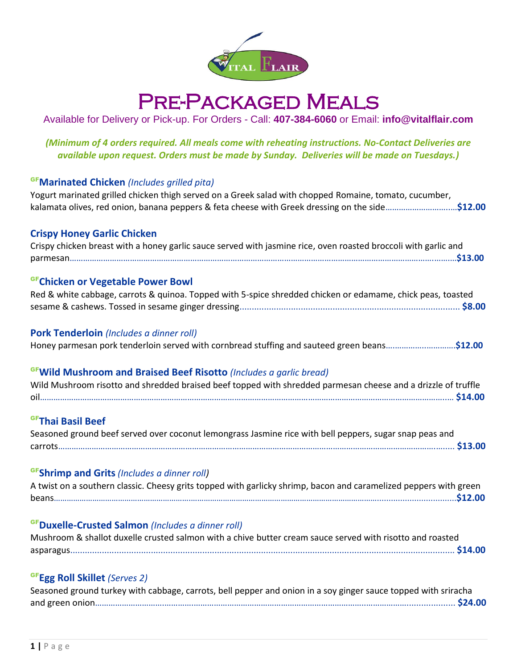

# Pre-Packaged Meals

## Available for Delivery or Pick-up. For Orders - Call: **407-384-6060** or Email: **info@vitalflair.com**

*(Minimum of 4 orders required. All meals come with reheating instructions. No-Contact Deliveries are available upon request. Orders must be made by Sunday. Deliveries will be made on Tuesdays.)*

#### GF**Marinated Chicken** *(Includes grilled pita)*

Yogurt marinated grilled chicken thigh served on a Greek salad with chopped Romaine, tomato, cucumber, kalamata olives, red onion, banana peppers & feta cheese with Greek dressing on the side………………………..…**\$12.00**

#### **Crispy Honey Garlic Chicken**

| Crispy chicken breast with a honey garlic sauce served with jasmine rice, oven roasted broccoli with garlic and |
|-----------------------------------------------------------------------------------------------------------------|
|                                                                                                                 |

#### GF**Chicken or Vegetable Power Bowl**

| Red & white cabbage, carrots & quinoa. Topped with 5-spice shredded chicken or edamame, chick peas, toasted |  |
|-------------------------------------------------------------------------------------------------------------|--|
|                                                                                                             |  |

#### **Pork Tenderloin** *(Includes a dinner roll)*

Honey parmesan pork tenderloin served with cornbread stuffing and sauteed green beans….…………..………….**\$12.00**

#### GF**Wild Mushroom and Braised Beef Risotto** *(Includes a garlic bread)*

| Wild Mushroom risotto and shredded braised beef topped with shredded parmesan cheese and a drizzle of truffle |  |
|---------------------------------------------------------------------------------------------------------------|--|
|                                                                                                               |  |

#### GF**Thai Basil Beef**

Seasoned ground beef served over coconut lemongrass Jasmine rice with bell peppers, sugar snap peas and carrots…………………………………………………………………………………………………………………………………………………….…..... **\$13.00**

#### GF**Shrimp and Grits** *(Includes a dinner roll)*

| A twist on a southern classic. Cheesy grits topped with garlicky shrimp, bacon and caramelized peppers with green |  |
|-------------------------------------------------------------------------------------------------------------------|--|
|                                                                                                                   |  |

#### GF**Duxelle-Crusted Salmon** *(Includes a dinner roll)*

| Mushroom & shallot duxelle crusted salmon with a chive butter cream sauce served with risotto and roasted |  |
|-----------------------------------------------------------------------------------------------------------|--|
|                                                                                                           |  |

#### GF**Egg Roll Skillet** *(Serves 2)*

| Seasoned ground turkey with cabbage, carrots, bell pepper and onion in a soy ginger sauce topped with sriracha |  |
|----------------------------------------------------------------------------------------------------------------|--|
|                                                                                                                |  |